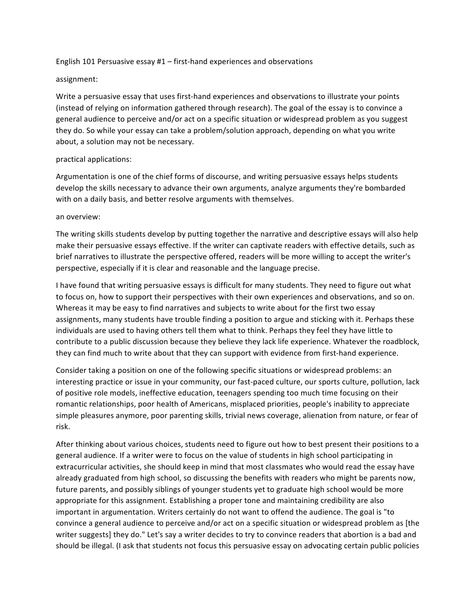## English 101 Persuasive essay  $#1$  – first-hand experiences and observations

## assignment:

Write a persuasive essay that uses first-hand experiences and observations to illustrate your points (instead of relying on information gathered through research). The goal of the essay is to convince a general audience to perceive and/or act on a specific situation or widespread problem as you suggest they do. So while your essay can take a problem/solution approach, depending on what you write about, a solution may not be necessary.

## practical applications:

Argumentation is one of the chief forms of discourse, and writing persuasive essays helps students develop the skills necessary to advance their own arguments, analyze arguments they're bombarded with on a daily basis, and better resolve arguments with themselves.

## an overview:

The writing skills students develop by putting together the narrative and descriptive essays will also help make their persuasive essays effective. If the writer can captivate readers with effective details, such as brief narratives to illustrate the perspective offered, readers will be more willing to accept the writer's perspective, especially if it is clear and reasonable and the language precise.

I have found that writing persuasive essays is difficult for many students. They need to figure out what to focus on, how to support their perspectives with their own experiences and observations, and so on. Whereas it may be easy to find narratives and subjects to write about for the first two essay assignments, many students have trouble finding a position to argue and sticking with it. Perhaps these individuals are used to having others tell them what to think. Perhaps they feel they have little to contribute to a public discussion because they believe they lack life experience. Whatever the roadblock, they can find much to write about that they can support with evidence from first-hand experience.

Consider taking a position on one of the following specific situations or widespread problems: an interesting practice or issue in your community, our fast-paced culture, our sports culture, pollution, lack of positive role models, ineffective education, teenagers spending too much time focusing on their romantic relationships, poor health of Americans, misplaced priorities, people's inability to appreciate simple pleasures anymore, poor parenting skills, trivial news coverage, alienation from nature, or fear of risk.

After thinking about various choices, students need to figure out how to best present their positions to a general audience. If a writer were to focus on the value of students in high school participating in extracurricular activities, she should keep in mind that most classmates who would read the essay have already graduated from high school, so discussing the benefits with readers who might be parents now, future parents, and possibly siblings of younger students yet to graduate high school would be more appropriate for this assignment. Establishing a proper tone and maintaining credibility are also important in argumentation. Writers certainly do not want to offend the audience. The goal is "to convince a general audience to perceive and/or act on a specific situation or widespread problem as [the writer suggests] they do." Let's say a writer decides to try to convince readers that abortion is a bad and should be illegal. (I ask that students not focus this persuasive essay on advocating certain public policies